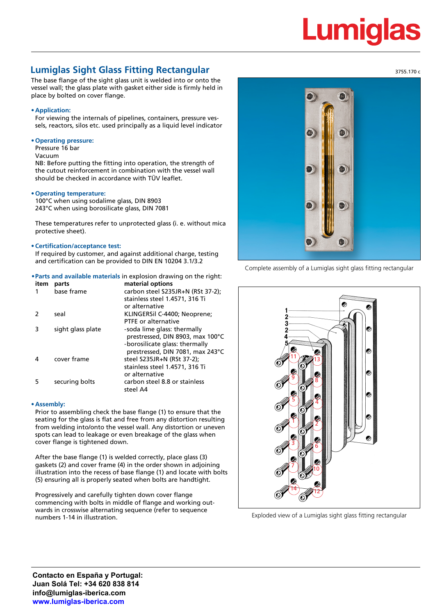## Lumig

### **Lumiglas Sight Glass Fitting Rectangular**

The base flange of the sight glass unit is welded into or onto the vessel wall; the glass plate with gasket either side is firmly held in place by bolted on cover flange.

#### **• Application:**

For viewing the internals of pipelines, containers, pressure vessels, reactors, silos etc. used principally as a liquid level indicator

#### **• Operating pressure:**

Pressure 16 bar

Vacuum

NB: Before putting the fitting into operation, the strength of the cutout reinforcement in combination with the vessel wall should be checked in accordance with TÜV leaflet.

#### **• Operating temperature:**

100°C when using sodalime glass, DIN 8903 243°C when using borosilicate glass, DIN 7081

These temperatures refer to unprotected glass (i. e. without mica protective sheet).

#### **• Certification/acceptance test:**

If required by customer, and against additional charge, testing and certification can be provided to DIN EN 10204 3.1/3.2

**•Parts and available materials** in explosion drawing on the right:

| parts             | material options                  |
|-------------------|-----------------------------------|
| base frame        | carbon steel S235JR+N (RSt 37-2); |
|                   | stainless steel 1.4571, 316 Ti    |
|                   | or alternative                    |
| seal              | KLINGERSIL C-4400; Neoprene;      |
|                   | PTFE or alternative               |
| sight glass plate | -soda lime glass: thermally       |
|                   | prestressed, DIN 8903, max 100°C  |
|                   | -borosilicate glass: thermally    |
|                   | prestressed, DIN 7081, max 243°C  |
| cover frame       | steel S235JR+N (RSt 37-2);        |
|                   | stainless steel 1.4571, 316 Ti    |
|                   | or alternative                    |
| securing bolts    | carbon steel 8.8 or stainless     |
|                   | steel A4                          |
|                   |                                   |

#### **• Assembly:**

Prior to assembling check the base flange (1) to ensure that the seating for the glass is flat and free from any distortion resulting from welding into/onto the vessel wall. Any distortion or uneven spots can lead to leakage or even breakage of the glass when cover flange is tightened down.

After the base flange (1) is welded correctly, place glass (3) gaskets (2) and cover frame (4) in the order shown in adjoining illustration into the recess of base flange (1) and locate with bolts (5) ensuring all is properly seated when bolts are handtight.

Progressively and carefully tighten down cover flange commencing with bolts in middle of flange and working outwards in crosswise alternating sequence (refer to sequence numbers 1-14 in illustration.



Complete assembly of a Lumiglas sight glass fitting rectangular



Exploded view of a Lumiglas sight glass fitting rectangular

3755.170 c